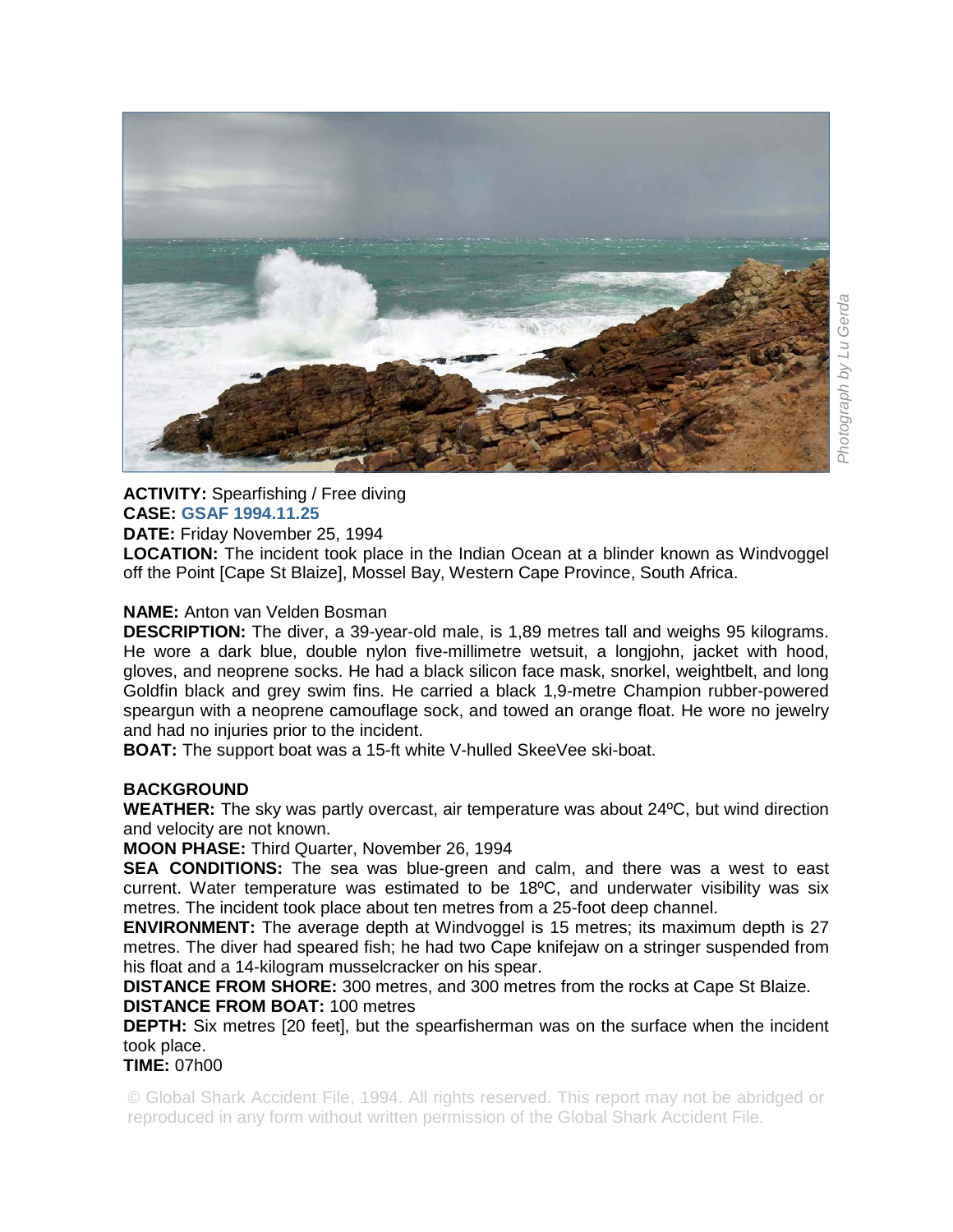

## **ACTIVITY:** Spearfishing / Free diving **CASE: GSAF 1994.11.25**

**DATE:** Friday November 25, 1994

**LOCATION:** The incident took place in the Indian Ocean at a blinder known as Windvoggel off the Point [Cape St Blaize], Mossel Bay, Western Cape Province, South Africa.

## **NAME:** Anton van Velden Bosman

**DESCRIPTION:** The diver, a 39-year-old male, is 1,89 metres tall and weighs 95 kilograms. He wore a dark blue, double nylon five-millimetre wetsuit, a longjohn, jacket with hood, gloves, and neoprene socks. He had a black silicon face mask, snorkel, weightbelt, and long Goldfin black and grey swim fins. He carried a black 1,9-metre Champion rubber-powered speargun with a neoprene camouflage sock, and towed an orange float. He wore no jewelry and had no injuries prior to the incident.

**BOAT:** The support boat was a 15-ft white V-hulled SkeeVee ski-boat.

## **BACKGROUND**

**WEATHER:** The sky was partly overcast, air temperature was about 24ºC, but wind direction and velocity are not known.

**MOON PHASE:** Third Quarter, November 26, 1994

**SEA CONDITIONS:** The sea was blue-green and calm, and there was a west to east current. Water temperature was estimated to be 18ºC, and underwater visibility was six metres. The incident took place about ten metres from a 25-foot deep channel.

**ENVIRONMENT:** The average depth at Windvoggel is 15 metres; its maximum depth is 27 metres. The diver had speared fish; he had two Cape knifejaw on a stringer suspended from his float and a 14-kilogram musselcracker on his spear.

**DISTANCE FROM SHORE:** 300 metres, and 300 metres from the rocks at Cape St Blaize. **DISTANCE FROM BOAT:** 100 metres

**DEPTH:** Six metres [20 feet], but the spearfisherman was on the surface when the incident took place.

**TIME:** 07h00

© Global Shark Accident File, 1994. All rights reserved. This report may not be abridged or reproduced in any form without written permission of the Global Shark Accident File.